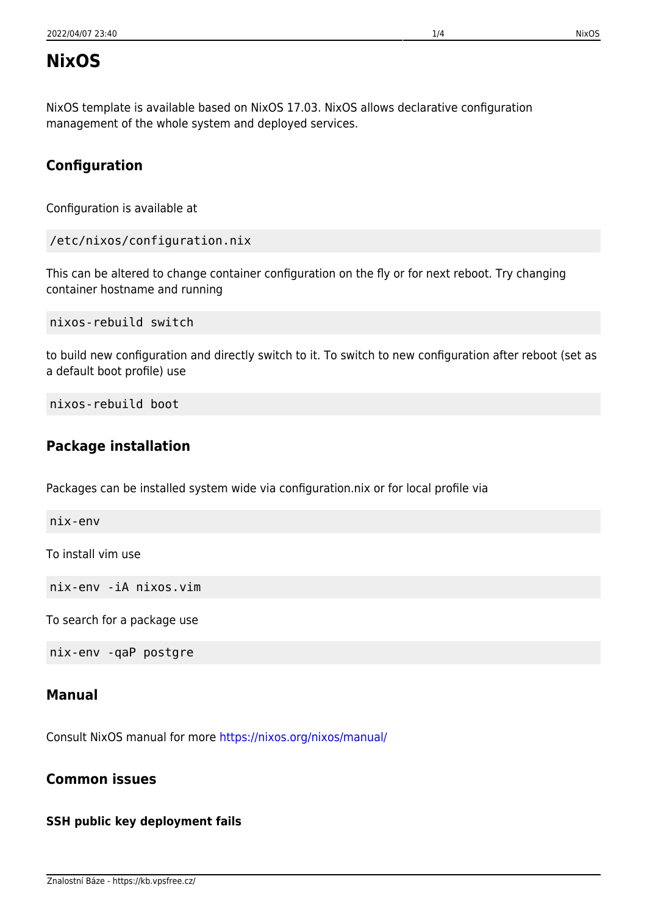# **NixOS**

NixOS template is available based on NixOS 17.03. NixOS allows declarative configuration management of the whole system and deployed services.

## **Configuration**

Configuration is available at

```
/etc/nixos/configuration.nix
```
This can be altered to change container configuration on the fly or for next reboot. Try changing container hostname and running

nixos-rebuild switch

to build new configuration and directly switch to it. To switch to new configuration after reboot (set as a default boot profile) use

nixos-rebuild boot

## **Package installation**

Packages can be installed system wide via configuration.nix or for local profile via

nix-env

To install vim use

nix-env -iA nixos.vim

To search for a package use

nix-env -qaP postgre

#### **Manual**

Consult NixOS manual for more<https://nixos.org/nixos/manual/>

## **Common issues**

## **SSH public key deployment fails**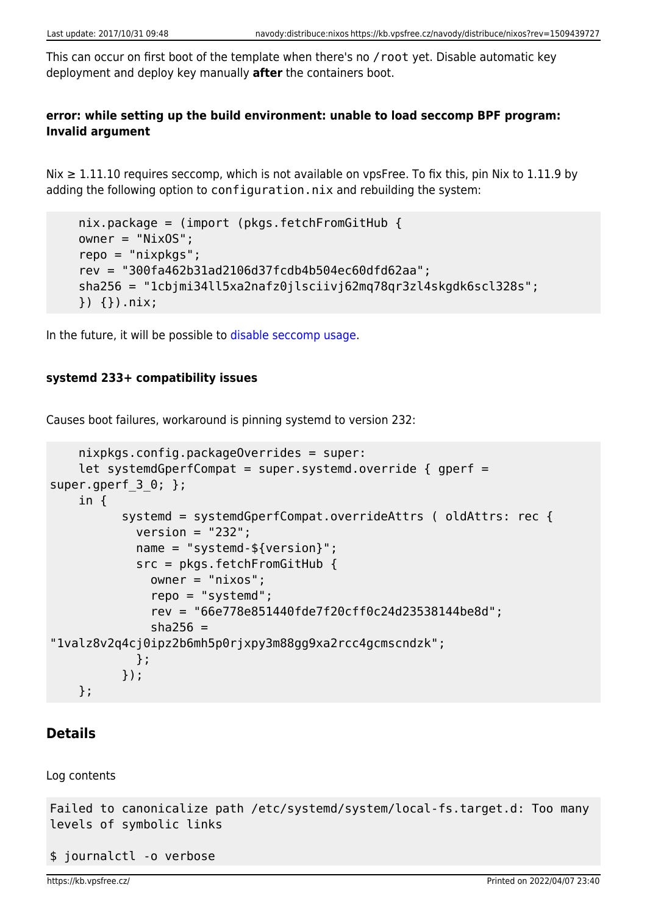This can occur on first boot of the template when there's no /root yet. Disable automatic key deployment and deploy key manually **after** the containers boot.

#### **error: while setting up the build environment: unable to load seccomp BPF program: Invalid argument**

Nix ≥ 1.11.10 requires seccomp, which is not available on vpsFree. To fix this, pin Nix to 1.11.9 by adding the following option to configuration.nix and rebuilding the system:

```
 nix.package = (import (pkgs.fetchFromGitHub {
 owner = "NixOS";
 repo = "nixpkgs";
 rev = "300fa462b31ad2106d37fcdb4b504ec60dfd62aa";
 sha256 = "1cbjmi34ll5xa2nafz0jlsciivj62mq78qr3zl4skgdk6scl328s";
 }) {}).nix;
```
In the future, it will be possible to [disable seccomp usage.](https://github.com/NixOS/nix/commit/1dd29d7aebae706f3e90a18bbfae727f2ed03c70)

#### **systemd 233+ compatibility issues**

Causes boot failures, workaround is pinning systemd to version 232:

```
 nixpkgs.config.packageOverrides = super:
    let systemdGperfCompat = super.systemd.override { qperf =
super.gperf 3\theta; };
     in {
           systemd = systemdGperfCompat.overrideAttrs ( oldAttrs: rec {
            version = "232"; name = "systemd-${version}";
             src = pkgs.fetchFromGitHub {
               owner = "nixos";
               repo = "systemd";
               rev = "66e778e851440fde7f20cff0c24d23538144be8d";
              sha256 ="1valz8v2q4cj0ipz2b6mh5p0rjxpy3m88gg9xa2rcc4gcmscndzk";
             };
           });
     };
```
#### **Details**

Log contents

```
Failed to canonicalize path /etc/systemd/system/local-fs.target.d: Too many
levels of symbolic links
```

```
$ journalctl -o verbose
```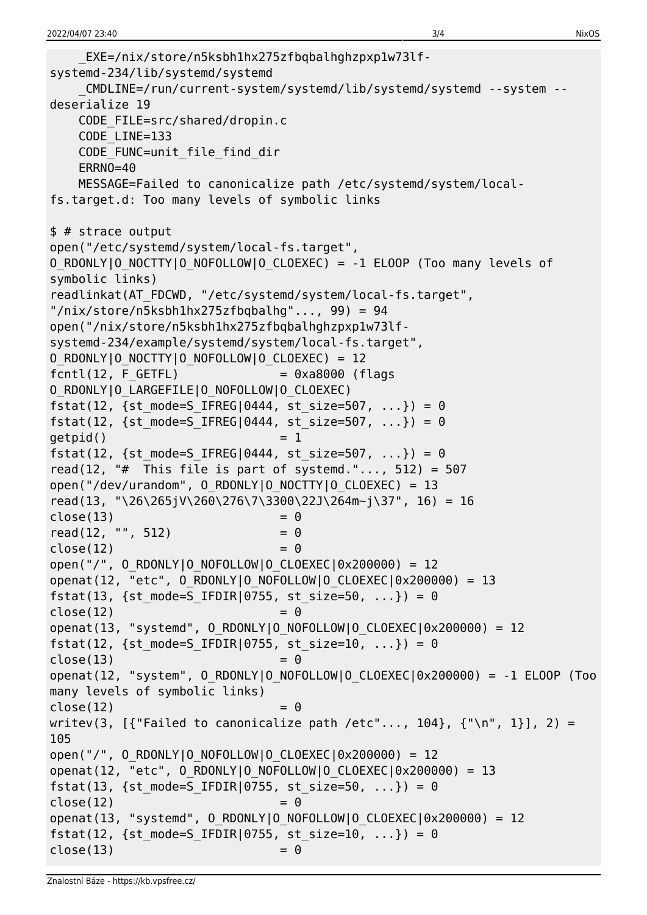```
 _EXE=/nix/store/n5ksbh1hx275zfbqbalhghzpxp1w73lf-
systemd-234/lib/systemd/systemd
    _CMDLINE=/run/current-system/systemd/lib/systemd/systemd --system --
deserialize 19
    CODE_FILE=src/shared/dropin.c
    CODE_LINE=133
   CODE FUNC=unit file find dir
    ERRNO=40
    MESSAGE=Failed to canonicalize path /etc/systemd/system/local-
fs.target.d: Too many levels of symbolic links
$ # strace output
open("/etc/systemd/system/local-fs.target",
O RDONLY|O NOCTTY|O NOFOLLOW|O CLOEXEC) = -1 ELOOP (Too many levels of
symbolic links)
readlinkat(AT_FDCWD, "/etc/systemd/system/local-fs.target",
"/nix/store/n5ksbh1hx275zfbqbalhg"..., 99) = 94
open("/nix/store/n5ksbh1hx275zfbqbalhghzpxp1w73lf-
systemd-234/example/systemd/system/local-fs.target",
O_RDONLY|O_NOCTTY|O_NOFOLLOW|O_CLOEXEC) = 12
fcnt(12, F GETFL) = 0xa8000 (flags
O_RDONLY|O_LARGEFILE|O_NOFOLLOW|O_CLOEXEC)
fstat(12, {st mode=S IFREG|0444, st size=507, ...}) = 0
fstat(12, {st mode=S IFREG|0444, st size=507, ...}) = 0
qetpid() = 1
fstat(12, {st mode=S IFREG|0444, st size=507, ...}) = 0
read(12, "# This file is part of systemd."..., 512) = 507
open("/dev/urandom", 0 RDONLY|0 NOCTTY|O CLOEXEC) = 13
read(13, "\26\265jV\260\276\7\3300\22J\264m~j\37", 16) = 16
close(13) = 0
read(12, "", 512) = 0close(12) = 0
open("/", 0 RDONLY|0 NOFOLLOW|0 CLOEXEC|0x200000) = 12
openat(12, "etc", 0 RDONLY|0 NOFOLLOW|0 CLOEXEC|0x200000) = 13
fstat(13, {st mode=S IFDIR|0755, st size=50, ...}) = 0
close(12) = 0
openat(13, "systemd", O_RDONLY|O_NOFOLLOW|O_CLOEXEC|0x200000) = 12
fstat(12, {st mode=S IFDIR|0755, st size=10, ...}) = 0
close(13) = 0
openat(12, "system", O RDONLY|O NOFOLLOW|O CLOEXEC|0x200000) = -1 ELOOP (Too
many levels of symbolic links)
close(12) = 0
writev(3, [{ ["Failed to canonicalize path /etc"..., 104}, {''\n}, 1}], 2) =
105
open("/", O_RDONLY|O_NOFOLLOW|O_CLOEXEC|0x200000) = 12
openat(12, "etc", O_RDONLY|O_NOFOLLOW|O_CLOEXEC|0x200000) = 13
fstat(13, \{st\_mode = S_IFDIR|0755, st\_size = 50, ... \}) = 0close(12) = 0
openat(13, "systemd", O_RDONLY|O_NOFOLLOW|O_CLOEXEC|0x200000) = 12
fstat(12, {st mode=S IFDIR|0755, st size=10, ...}) = 0
close(13) = 0
```